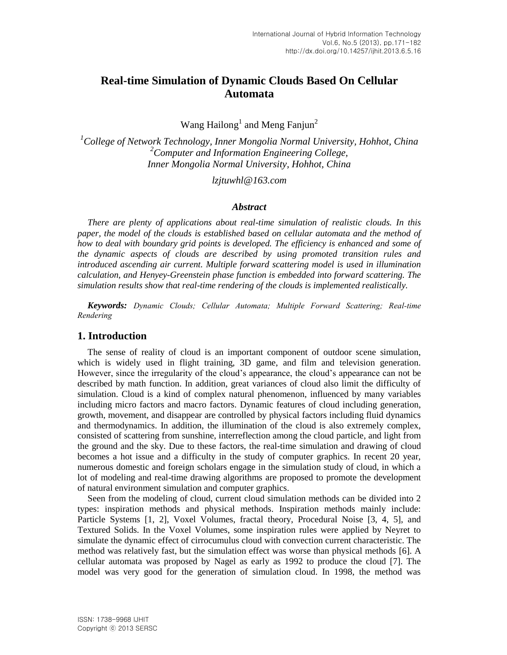# **Real-time Simulation of Dynamic Clouds Based On Cellular Automata**

Wang Hailong<sup>1</sup> and Meng Fanjun<sup>2</sup>

*<sup>1</sup>College of Network Technology, Inner Mongolia Normal University, Hohhot, China <sup>2</sup>Computer and Information Engineering College, Inner Mongolia Normal University, Hohhot, China*

*lzjtuwhl@163.com*

#### *Abstract*

*There are plenty of applications about real-time simulation of realistic clouds. In this paper, the model of the clouds is established based on cellular automata and the method of how to deal with boundary grid points is developed. The efficiency is enhanced and some of the dynamic aspects of clouds are described by using promoted transition rules and introduced ascending air current. Multiple forward scattering model is used in illumination calculation, and Henyey-Greenstein phase function is embedded into forward scattering. The simulation results show that real-time rendering of the clouds is implemented realistically.*

*Keywords: Dynamic Clouds; Cellular Automata; Multiple Forward Scattering; Real-time Rendering*

### **1. Introduction**

The sense of reality of cloud is an important component of outdoor scene simulation, which is widely used in flight training, 3D game, and film and television generation. However, since the irregularity of the cloud's appearance, the cloud's appearance can not be described by math function. In addition, great variances of cloud also limit the difficulty of simulation. Cloud is a kind of complex natural phenomenon, influenced by many variables including micro factors and macro factors. Dynamic features of cloud including generation, growth, movement, and disappear are controlled by physical factors including fluid dynamics and thermodynamics. In addition, the illumination of the cloud is also extremely complex, consisted of scattering from sunshine, interreflection among the cloud particle, and light from the ground and the sky. Due to these factors, the real-time simulation and drawing of cloud becomes a hot issue and a difficulty in the study of computer graphics. In recent 20 year, numerous domestic and foreign scholars engage in the simulation study of cloud, in which a lot of modeling and real-time drawing algorithms are proposed to promote the development of natural environment simulation and computer graphics.

Seen from the modeling of cloud, current cloud simulation methods can be divided into 2 types: inspiration methods and physical methods. Inspiration methods mainly include: Particle Systems [1, 2], Voxel Volumes, fractal theory, Procedural Noise [3, 4, 5], and Textured Solids. In the Voxel Volumes, some inspiration rules were applied by Neyret to simulate the dynamic effect of cirrocumulus cloud with convection current characteristic. The method was relatively fast, but the simulation effect was worse than physical methods [6]. A cellular automata was proposed by Nagel as early as 1992 to produce the cloud [7]. The model was very good for the generation of simulation cloud. In 1998, the method was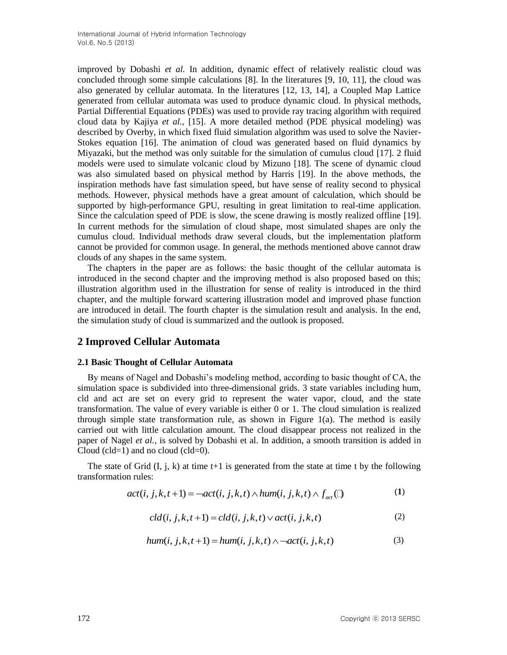improved by Dobashi *et al.* In addition, dynamic effect of relatively realistic cloud was concluded through some simple calculations [8]. In the literatures [9, 10, 11], the cloud was also generated by cellular automata. In the literatures [12, 13, 14], a Coupled Map Lattice generated from cellular automata was used to produce dynamic cloud. In physical methods, Partial Differential Equations (PDEs) was used to provide ray tracing algorithm with required cloud data by Kajiya *et al.*, [15]. A more detailed method (PDE physical modeling) was described by Overby, in which fixed fluid simulation algorithm was used to solve the Navier-Stokes equation [16]. The animation of cloud was generated based on fluid dynamics by Miyazaki, but the method was only suitable for the simulation of cumulus cloud [17]. 2 fluid models were used to simulate volcanic cloud by Mizuno [18]. The scene of dynamic cloud was also simulated based on physical method by Harris [19]. In the above methods, the inspiration methods have fast simulation speed, but have sense of reality second to physical methods. However, physical methods have a great amount of calculation, which should be supported by high-performance GPU, resulting in great limitation to real-time application. Since the calculation speed of PDE is slow, the scene drawing is mostly realized offline [19]. In current methods for the simulation of cloud shape, most simulated shapes are only the cumulus cloud. Individual methods draw several clouds, but the implementation platform cannot be provided for common usage. In general, the methods mentioned above cannot draw clouds of any shapes in the same system.

The chapters in the paper are as follows: the basic thought of the cellular automata is introduced in the second chapter and the improving method is also proposed based on this; illustration algorithm used in the illustration for sense of reality is introduced in the third chapter, and the multiple forward scattering illustration model and improved phase function are introduced in detail. The fourth chapter is the simulation result and analysis. In the end, the simulation study of cloud is summarized and the outlook is proposed.

# **2 Improved Cellular Automata**

#### **2.1 Basic Thought of Cellular Automata**

By means of Nagel and Dobashi's modeling method, according to basic thought of CA, the simulation space is subdivided into three-dimensional grids. 3 state variables including hum, cld and act are set on every grid to represent the water vapor, cloud, and the state transformation. The value of every variable is either 0 or 1. The cloud simulation is realized through simple state transformation rule, as shown in Figure  $1(a)$ . The method is easily carried out with little calculation amount. The cloud disappear process not realized in the paper of Nagel *et al.*, is solved by Dobashi et al. In addition, a smooth transition is added in Cloud (cld=1) and no cloud (cld=0).

The state of Grid (I, j, k) at time t+1 is generated from the state at time t by the following nsformation rules:<br>  $act(i, j, k, t+1) = -act(i, j, k, t) \wedge hum(i, j, k, t) \wedge f_{act}$  (1) (1) transformation rules:

$$
act(i, j, k, t+1) = -act(i, j, k, t) \wedge hum(i, j, k, t) \wedge f_{act}(\square)
$$
 (1)

$$
cld(i, j, k, t+1) = cld(i, j, k, t) \lor act(i, j, k, t)
$$
\n
$$
(2)
$$

$$
cla(i, j, k, t+1) = cla(i, j, k, t) \lor act(i, j, k, t)
$$
\n
$$
hum(i, j, k, t+1) = hum(i, j, k, t) \land \neg act(i, j, k, t)
$$
\n
$$
(3)
$$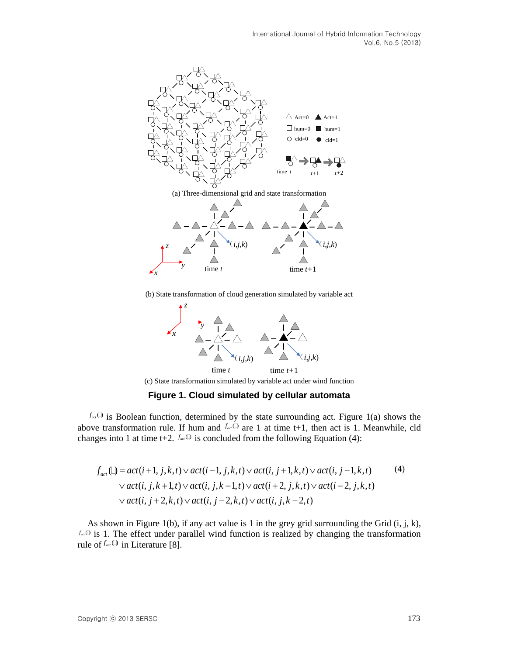

(b) State transformation of cloud generation simulated by variable act



**Figure 1. Cloud simulated by cellular automata**

 $f_{\text{net}}$ <sup>(1)</sup> is Boolean function, determined by the state surrounding act. Figure 1(a) shows the above transformation rule. If hum and  $f_{\text{act}}(i)$  are 1 at time t+1, then act is 1. Meanwhile, cld

changes into 1 at time t+2. 
$$
f_{ac} \oplus
$$
 is concluded from the following Equation (4):  
\n
$$
f_{act} \oplus = act(i+1, j, k, t) \vee act(i-1, j, k, t) \vee act(i, j+1, k, t) \vee act(i, j-1, k, t)
$$
\n
$$
\vee act(i, j, k+1, t) \vee act(i, j, k-1, t) \vee act(i+2, j, k, t) \vee act(i-2, j, k, t)
$$
\n
$$
\vee act(i, j+2, k, t) \vee act(i, j-2, k, t) \vee act(i, j, k-2, t)
$$
\n(4)

As shown in Figure 1(b), if any act value is 1 in the grey grid surrounding the Grid  $(i, j, k)$ ,  $f_{\text{act}}(t)$  is 1. The effect under parallel wind function is realized by changing the transformation rule of  $f_{\text{act}}(\mathbb{D})$  in Literature [8].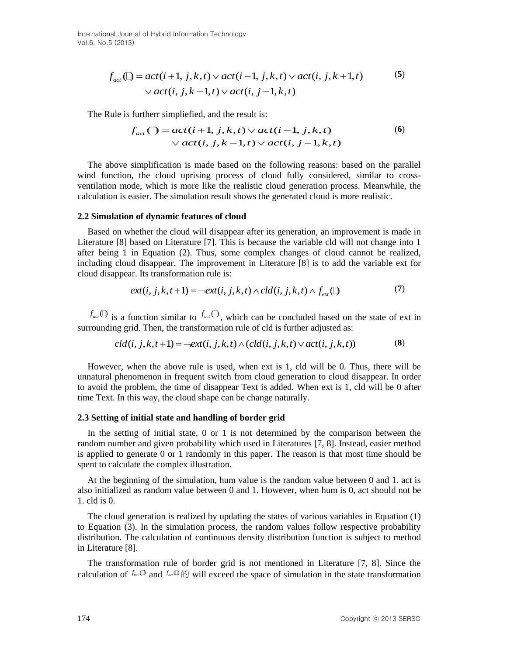International Journal of Hybrid Information Technology Vol.6, No.5 (2013)

$$
f_{act} \bigcirc = act(i+1, j, k, t) \lor act(i-1, j, k, t) \lor act(i, j, k+1, t) \qquad (5)
$$
  
 
$$
\lor act(i, j, k-1, t) \lor act(i, j-1, k, t)
$$

The Rule is furtherr simpliefied, and the result is:

intersimplified, and the result is:  
\n
$$
f_{act} \bigcirc \bigcirc = act(i + 1, j, k, t) \vee act(i - 1, j, k, t)
$$
\n
$$
\vee act(i, j, k - 1, t) \vee act(i, j - 1, k, t)
$$
\n(6)

The above simplification is made based on the following reasons: based on the parallel wind function, the cloud uprising process of cloud fully considered, similar to crossventilation mode, which is more like the realistic cloud generation process. Meanwhile, the calculation is easier. The simulation result shows the generated cloud is more realistic.

#### **2.2 Simulation of dynamic features of cloud**

Based on whether the cloud will disappear after its generation, an improvement is made in Literature [8] based on Literature [7]. This is because the variable cld will not change into 1 after being 1 in Equation (2). Thus, some complex changes of cloud cannot be realized, including cloud disappear. The improvement in Literature [8] is to add the variable ext for cloud disappear. Its transformation rule is:<br>  $ext(i, j, k, t+1) = -ext(i, j, k, t) \wedge cld(i, j, k, t) \wedge f_{ext}$  (1) (7) cloud disappear. Its transformation rule is:

$$
ext(i, j, k, t+1) = -ext(i, j, k, t) \wedge cld(i, j, k, t) \wedge f_{\text{ext}}(t)
$$
\n
$$
(7)
$$

 $f_{\text{act}}(\mathbb{D})$  is a function similar to  $f_{\text{act}}(\mathbb{D})$ , which can be concluded based on the state of ext in surrounding grid. Then, the transformation rule of cld is further adjusted as: *call is a function similar to*  $f_{act}(\theta)$ *, which can be concluded based on* ig grid. Then, the transformation rule of cld is further adjusted as:  $cld(i, j, k, t+1) = -ext(i, j, k, t) \wedge (cld(i, j, k, t) \vee act(i, j, k, t))$ 

$$
cld(i, j, k, t+1) = -\text{ext}(i, j, k, t) \land (cld(i, j, k, t) \lor \text{act}(i, j, k, t))
$$
\n(8)

However, when the above rule is used, when ext is 1, cld will be 0. Thus, there will be unnatural phenomenon in frequent switch from cloud generation to cloud disappear. In order to avoid the problem, the time of disappear Text is added. When ext is 1, cld will be 0 after time Text. In this way, the cloud shape can be change naturally.

#### **2.3 Setting of initial state and handling of border grid**

In the setting of initial state, 0 or 1 is not determined by the comparison between the random number and given probability which used in Literatures [7, 8]. Instead, easier method is applied to generate 0 or 1 randomly in this paper. The reason is that most time should be spent to calculate the complex illustration.

At the beginning of the simulation, hum value is the random value between 0 and 1. act is also initialized as random value between 0 and 1. However, when hum is 0, act should not be 1. cld is 0.

The cloud generation is realized by updating the states of various variables in Equation (1) to Equation (3). In the simulation process, the random values follow respective probability distribution. The calculation of continuous density distribution function is subject to method in Literature [8].

The transformation rule of border grid is not mentioned in Literature [7, 8]. Since the calculation of  $f_{\alpha\alpha}$ <sup>(1)</sup> and  $f_{\alpha\alpha}$ <sup>(1)</sup>) will exceed the space of simulation in the state transformation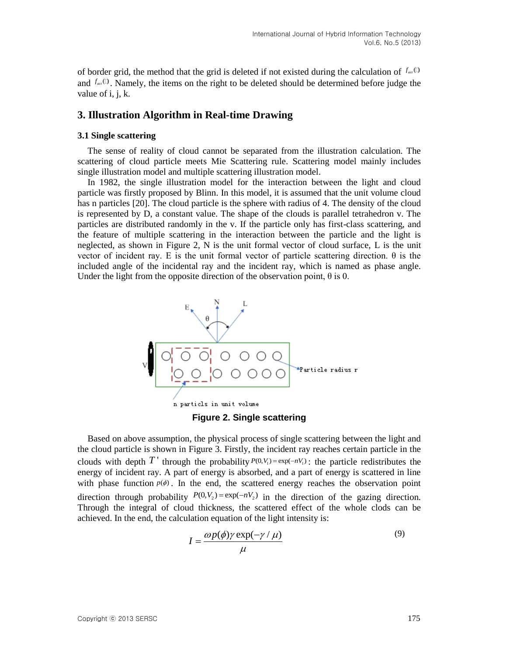of border grid, the method that the grid is deleted if not existed during the calculation of  $f_{\text{act}}$ <sup>(1)</sup> and  $f_{\text{act}}$ <sup>(1)</sup>. Namely, the items on the right to be deleted should be determined before judge the value of *i*, *i*, *k*.

### **3. Illustration Algorithm in Real-time Drawing**

#### **3.1 Single scattering**

The sense of reality of cloud cannot be separated from the illustration calculation. The scattering of cloud particle meets Mie Scattering rule. Scattering model mainly includes single illustration model and multiple scattering illustration model.

In 1982, the single illustration model for the interaction between the light and cloud particle was firstly proposed by Blinn. In this model, it is assumed that the unit volume cloud has n particles [20]. The cloud particle is the sphere with radius of 4. The density of the cloud is represented by D, a constant value. The shape of the clouds is parallel tetrahedron v. The particles are distributed randomly in the v. If the particle only has first-class scattering, and the feature of multiple scattering in the interaction between the particle and the light is neglected, as shown in Figure 2, N is the unit formal vector of cloud surface, L is the unit vector of incident ray. E is the unit formal vector of particle scattering direction. θ is the included angle of the incidental ray and the incident ray, which is named as phase angle. Under the light from the opposite direction of the observation point,  $\theta$  is 0.



**Figure 2. Single scattering**

Based on above assumption, the physical process of single scattering between the light and the cloud particle is shown in Figure 3. Firstly, the incident ray reaches certain particle in the clouds with depth  $T'$  through the probability  $P(0, V_1) = \exp(-nV_1)$ : the particle redistributes the energy of incident ray. A part of energy is absorbed, and a part of energy is scattered in line with phase function  $p(\phi)$ . In the end, the scattered energy reaches the observation point direction through probability  $P(0, V_2) = \exp(-nV_2)$  in the direction of the gazing direction. Through the integral of cloud thickness, the scattered effect of the whole clods can be achieved. In the end, the calculation equation of the light intensity is:

$$
I = \frac{\omega p(\phi) \gamma \exp(-\gamma / \mu)}{\mu}
$$
\n(9)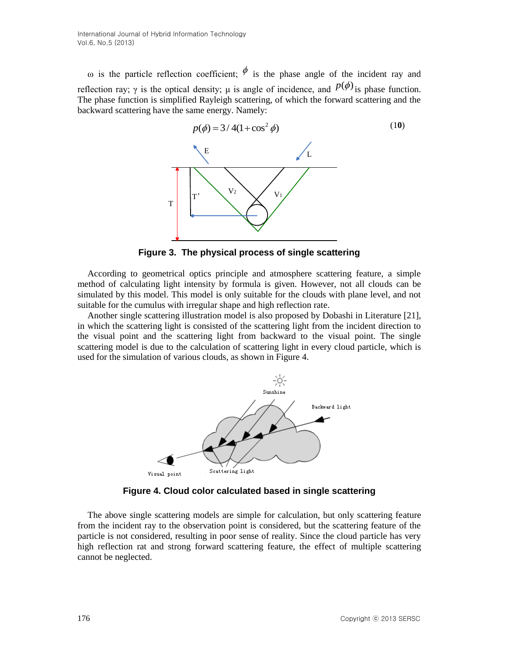ω is the particle reflection coefficient;  $\phi$  is the phase angle of the incident ray and reflection ray;  $\gamma$  is the optical density;  $\mu$  is angle of incidence, and  $p(\phi)$  is phase function. The phase function is simplified Rayleigh scattering, of which the forward scattering and the backward scattering have the same energy. Namely:



**Figure 3. The physical process of single scattering**

According to geometrical optics principle and atmosphere scattering feature, a simple method of calculating light intensity by formula is given. However, not all clouds can be simulated by this model. This model is only suitable for the clouds with plane level, and not suitable for the cumulus with irregular shape and high reflection rate.

Another single scattering illustration model is also proposed by Dobashi in Literature [21], in which the scattering light is consisted of the scattering light from the incident direction to the visual point and the scattering light from backward to the visual point. The single scattering model is due to the calculation of scattering light in every cloud particle, which is used for the simulation of various clouds, as shown in Figure 4.



**Figure 4. Cloud color calculated based in single scattering**

The above single scattering models are simple for calculation, but only scattering feature from the incident ray to the observation point is considered, but the scattering feature of the particle is not considered, resulting in poor sense of reality. Since the cloud particle has very high reflection rat and strong forward scattering feature, the effect of multiple scattering cannot be neglected.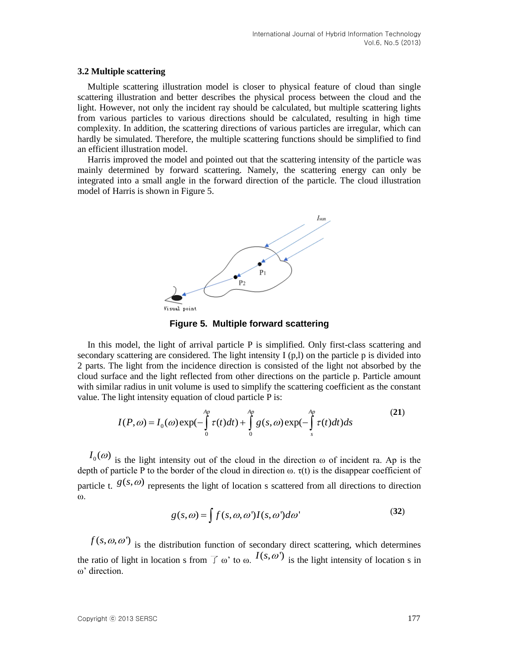#### **3.2 Multiple scattering**

Multiple scattering illustration model is closer to physical feature of cloud than single scattering illustration and better describes the physical process between the cloud and the light. However, not only the incident ray should be calculated, but multiple scattering lights from various particles to various directions should be calculated, resulting in high time complexity. In addition, the scattering directions of various particles are irregular, which can hardly be simulated. Therefore, the multiple scattering functions should be simplified to find an efficient illustration model.

Harris improved the model and pointed out that the scattering intensity of the particle was mainly determined by forward scattering. Namely, the scattering energy can only be integrated into a small angle in the forward direction of the particle. The cloud illustration model of Harris is shown in Figure 5.



**Figure 5. Multiple forward scattering**

In this model, the light of arrival particle P is simplified. Only first-class scattering and secondary scattering are considered. The light intensity  $I (p,l)$  on the particle p is divided into 2 parts. The light from the incidence direction is consisted of the light not absorbed by the cloud surface and the light reflected from other directions on the particle p. Particle amount

with similar radius in unit volume is used to simplify the scattering coefficient as the constant  
value. The light intensity equation of cloud particle P is:  

$$
I(P,\omega) = I_0(\omega) \exp(-\int_0^{Ap} \tau(t)dt) + \int_0^{Ap} g(s,\omega) \exp(-\int_s^{Ap} \tau(t)dt)ds
$$
(21)

 $I_0(\omega)$  is the light intensity out of the cloud in the direction  $\omega$  of incident ra. Ap is the depth of particle P to the border of the cloud in direction  $\omega$ .  $\tau(t)$  is the disappear coefficient of particle t.  $g(s, \omega)$  represents the light of location s scattered from all directions to direction ω.

$$
g(s,\omega) = \int f(s,\omega,\omega')I(s,\omega')d\omega'
$$
 (32)

 $f(s, \omega, \omega')$  is the distribution function of secondary direct scattering, which determines the ratio of light in location s from  $\overline{f}$   $\omega$ ' to  $\omega$ .  $I(s, \omega')$  is the light intensity of location s in ω' direction.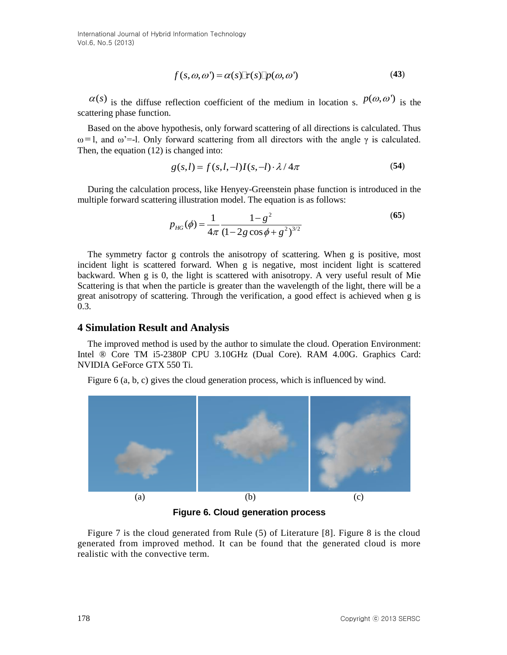$$
f(s, \omega, \omega') = \alpha(s) \mathbb{F}(s) \mathbb{D}( \omega, \omega')
$$
 (43)

 $\alpha(s)$  is the diffuse reflection coefficient of the medium in location s.  $p(\omega, \omega')$  is the scattering phase function.

Based on the above hypothesis, only forward scattering of all directions is calculated. Thus ω=1, and ω'=-1. Only forward scattering from all directors with the angle γ is calculated. Then, the equation (12) is changed into:

*g s l f s l l I s l* ( , ) ( , , ) ( , ) / 4 (**54**)

During the calculation process, like Henyey-Greenstein phase function is introduced in the multiple forward scattering illustration model. The equation is as follows:

$$
p_{HG}(\phi) = \frac{1}{4\pi} \frac{1 - g^2}{(1 - 2g\cos\phi + g^2)^{3/2}}
$$
(65)

The symmetry factor g controls the anisotropy of scattering. When g is positive, most incident light is scattered forward. When g is negative, most incident light is scattered backward. When g is 0, the light is scattered with anisotropy. A very useful result of Mie Scattering is that when the particle is greater than the wavelength of the light, there will be a great anisotropy of scattering. Through the verification, a good effect is achieved when g is 0.3.

### **4 Simulation Result and Analysis**

The improved method is used by the author to simulate the cloud. Operation Environment: Intel ® Core TM i5-2380P CPU 3.10GHz (Dual Core). RAM 4.00G. Graphics Card: NVIDIA GeForce GTX 550 Ti.

Figure 6 (a, b, c) gives the cloud generation process, which is influenced by wind.



**Figure 6. Cloud generation process**

Figure 7 is the cloud generated from Rule (5) of Literature [8]. Figure 8 is the cloud generated from improved method. It can be found that the generated cloud is more realistic with the convective term.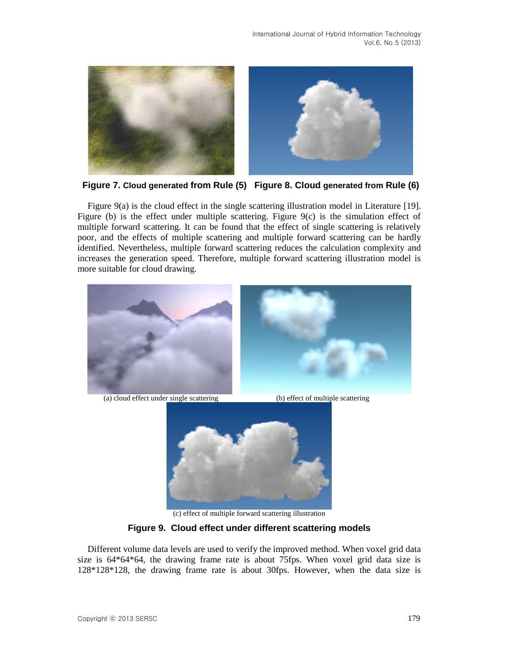



Figure 9(a) is the cloud effect in the single scattering illustration model in Literature [19]. Figure (b) is the effect under multiple scattering. Figure 9(c) is the simulation effect of multiple forward scattering. It can be found that the effect of single scattering is relatively poor, and the effects of multiple scattering and multiple forward scattering can be hardly identified. Nevertheless, multiple forward scattering reduces the calculation complexity and increases the generation speed. Therefore, multiple forward scattering illustration model is more suitable for cloud drawing.



(a) cloud effect under single scattering (b) effect of multiple scattering



(c) effect of multiple forward scattering illustration

# **Figure 9. Cloud effect under different scattering models**

Different volume data levels are used to verify the improved method. When voxel grid data size is 64\*64\*64, the drawing frame rate is about 75fps. When voxel grid data size is 128\*128\*128, the drawing frame rate is about 30fps. However, when the data size is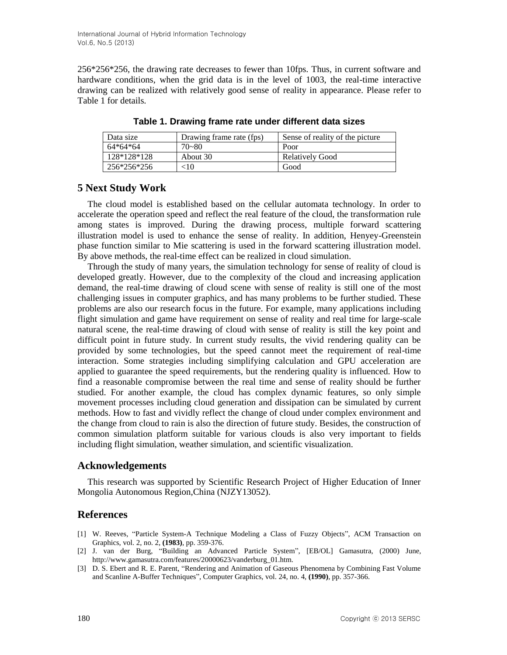256\*256\*256, the drawing rate decreases to fewer than 10fps. Thus, in current software and hardware conditions, when the grid data is in the level of 1003, the real-time interactive drawing can be realized with relatively good sense of reality in appearance. Please refer to Table 1 for details.

| Data size   | Drawing frame rate (fps) | Sense of reality of the picture |
|-------------|--------------------------|---------------------------------|
| $64*64*64$  | 70~80                    | Poor                            |
| 128*128*128 | About 30                 | <b>Relatively Good</b>          |
| 256*256*256 | 10>                      | Good                            |

**Table 1. Drawing frame rate under different data sizes**

# **5 Next Study Work**

The cloud model is established based on the cellular automata technology. In order to accelerate the operation speed and reflect the real feature of the cloud, the transformation rule among states is improved. During the drawing process, multiple forward scattering illustration model is used to enhance the sense of reality. In addition, Henyey-Greenstein phase function similar to Mie scattering is used in the forward scattering illustration model. By above methods, the real-time effect can be realized in cloud simulation.

Through the study of many years, the simulation technology for sense of reality of cloud is developed greatly. However, due to the complexity of the cloud and increasing application demand, the real-time drawing of cloud scene with sense of reality is still one of the most challenging issues in computer graphics, and has many problems to be further studied. These problems are also our research focus in the future. For example, many applications including flight simulation and game have requirement on sense of reality and real time for large-scale natural scene, the real-time drawing of cloud with sense of reality is still the key point and difficult point in future study. In current study results, the vivid rendering quality can be provided by some technologies, but the speed cannot meet the requirement of real-time interaction. Some strategies including simplifying calculation and GPU acceleration are applied to guarantee the speed requirements, but the rendering quality is influenced. How to find a reasonable compromise between the real time and sense of reality should be further studied. For another example, the cloud has complex dynamic features, so only simple movement processes including cloud generation and dissipation can be simulated by current methods. How to fast and vividly reflect the change of cloud under complex environment and the change from cloud to rain is also the direction of future study. Besides, the construction of common simulation platform suitable for various clouds is also very important to fields including flight simulation, weather simulation, and scientific visualization.

# **Acknowledgements**

This research was supported by Scientific Research Project of Higher Education of Inner Mongolia Autonomous Region,China (NJZY13052).

# **References**

- [1] W. Reeves, "Particle System-A Technique Modeling a Class of Fuzzy Objects", ACM Transaction on Graphics, vol. 2, no. 2, **(1983)**, pp. 359-376.
- [2] J. van der Burg, "Building an Advanced Particle System", [EB/OL] Gamasutra, (2000) June, http://www.gamasutra.com/features/20000623/vanderburg\_01.htm.
- [3] D. S. Ebert and R. E. Parent, "Rendering and Animation of Gaseous Phenomena by Combining Fast Volume and Scanline A-Buffer Techniques", Computer Graphics, vol. 24, no. 4, **(1990)**, pp. 357-366.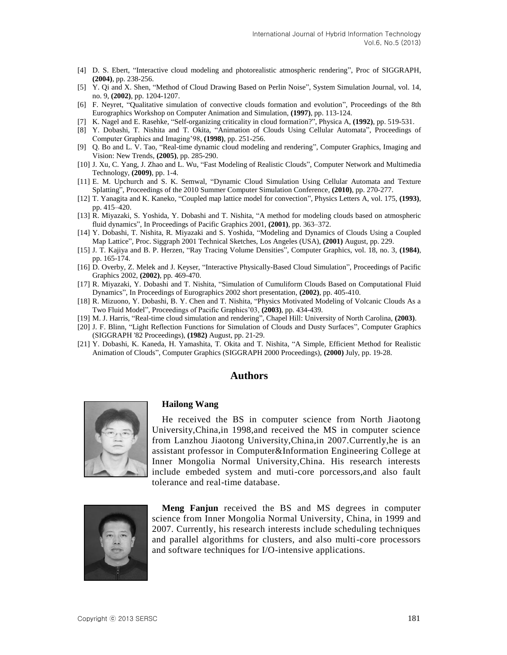- [4] D. S. Ebert, "Interactive cloud modeling and photorealistic atmospheric rendering", Proc of SIGGRAPH, **(2004)**, pp. 238-256.
- [5] Y. Qi and X. Shen, "Method of Cloud Drawing Based on Perlin Noise", System Simulation Journal, vol. 14, no. 9, **(2002)**, pp. 1204-1207.
- [6] F. Neyret, "Qualitative simulation of convective clouds formation and evolution", Proceedings of the 8th Eurographics Workshop on Computer Animation and Simulation, **(1997)**, pp. 113-124.
- [7] K. Nagel and E. Rasehke, "Self-organizing criticality in cloud formation?", Physica A, **(1992)**, pp. 519-531.
- [8] Y. Dobashi, T. Nishita and T. Okita, "Animation of Clouds Using Cellular Automata", Proceedings of Computer Graphics and Imaging'98, **(1998)**, pp. 251-256.
- [9] Q. Bo and L. V. Tao, "Real-time dynamic cloud modeling and rendering", Computer Graphics, Imaging and Vision: New Trends, **(2005)**, pp. 285-290.
- [10] J. Xu, C. Yang, J. Zhao and L. Wu, "Fast Modeling of Realistic Clouds", Computer Network and Multimedia Technology, **(2009)**, pp. 1-4.
- [11] E. M. Upchurch and S. K. Semwal, "Dynamic Cloud Simulation Using Cellular Automata and Texture Splatting", Proceedings of the 2010 Summer Computer Simulation Conference, **(2010)**, pp. 270-277.
- [12] T. Yanagita and K. Kaneko, "Coupled map lattice model for convection", Physics Letters A, vol. 175, **(1993)**, pp. 415–420.
- [13] R. Miyazaki, S. Yoshida, Y. Dobashi and T. Nishita, "A method for modeling clouds based on atmospheric fluid dynamics", In Proceedings of Pacific Graphics 2001, **(2001)**, pp. 363–372.
- [14] Y. Dobashi, T. Nishita, R. Miyazaki and S. Yoshida, "Modeling and Dynamics of Clouds Using a Coupled Map Lattice", Proc. Siggraph 2001 Technical Sketches, Los Angeles (USA), **(2001)** August, pp. 229.
- [15] J. T. Kajiya and B. P. Herzen, "Ray Tracing Volume Densities", Computer Graphics, vol. 18, no. 3, **(1984)**, pp. 165-174.
- [16] D. Overby, Z. Melek and J. Keyser, "Interactive Physically-Based Cloud Simulation", Proceedings of Pacific Graphics 2002, **(2002)**, pp. 469-470.
- [17] R. Miyazaki, Y. Dobashi and T. Nishita, "Simulation of Cumuliform Clouds Based on Computational Fluid Dynamics", In Proceedings of Eurographics 2002 short presentation, **(2002)**, pp. 405-410.
- [18] R. Mizuono, Y. Dobashi, B. Y. Chen and T. Nishita, "Physics Motivated Modeling of Volcanic Clouds As a Two Fluid Model", Proceedings of Pacific Graphics'03, **(2003)**, pp. 434-439.
- [19] M. J. Harris, "Real-time cloud simulation and rendering", Chapel Hill: University of North Carolina, **(2003)**.
- [20] J. F. Blinn, "Light Reflection Functions for Simulation of Clouds and Dusty Surfaces", Computer Graphics (SIGGRAPH '82 Proceedings), **(1982)** August, pp. 21-29.
- [21] Y. Dobashi, K. Kaneda, H. Yamashita, T. Okita and T. Nishita, "A Simple, Efficient Method for Realistic Animation of Clouds", Computer Graphics (SIGGRAPH 2000 Proceedings), **(2000)** July, pp. 19-28.

#### **Authors**



#### **Hailong Wang**

He received the BS in computer science from North Jiaotong University,China,in 1998,and received the MS in computer science from Lanzhou Jiaotong University,China,in 2007.Currently,he is an assistant professor in Computer&Information Engineering College at Inner Mongolia Normal University,China. His research interests include embeded system and muti-core porcessors,and also fault tolerance and real-time database.



**Meng Fanjun** received the BS and MS degrees in computer science from Inner Mongolia Normal University, China, in 1999 and 2007. Currently, his research interests include scheduling techniques and parallel algorithms for clusters, and also multi-core processors and software techniques for I/O-intensive applications.